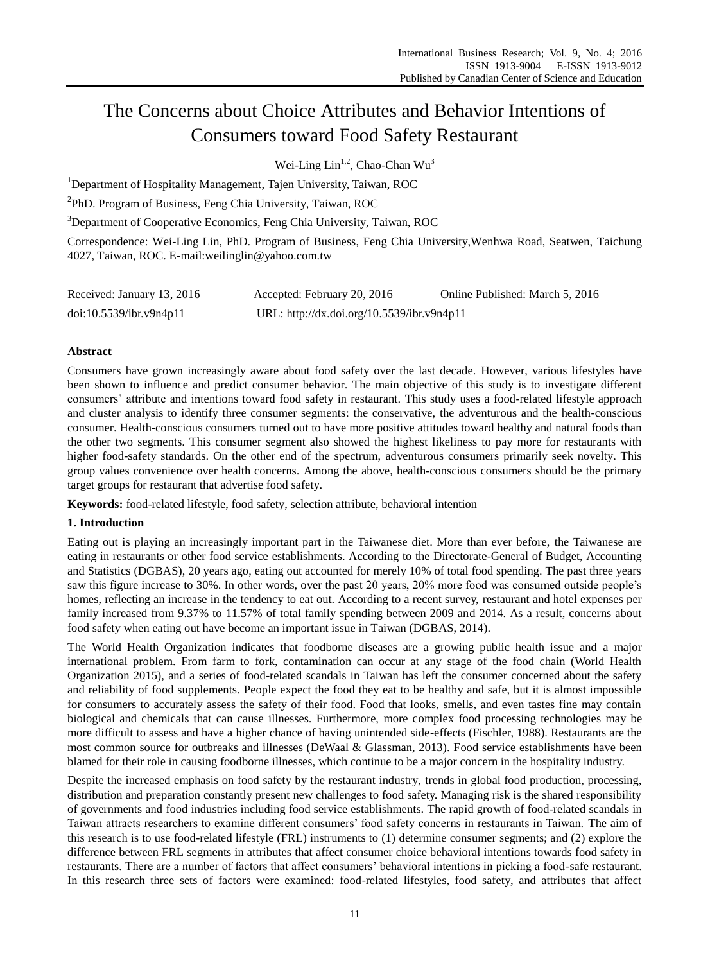# The Concerns about Choice Attributes and Behavior Intentions of Consumers toward Food Safety Restaurant

Wei-Ling Lin<sup>1,2</sup>, Chao-Chan Wu<sup>3</sup>

<sup>1</sup>Department of Hospitality Management, Tajen University, Taiwan, ROC

<sup>2</sup>PhD. Program of Business, Feng Chia University, Taiwan, ROC

<sup>3</sup>Department of Cooperative Economics, Feng Chia University, Taiwan, ROC

Correspondence: Wei-Ling Lin, PhD. Program of Business, Feng Chia University,Wenhwa Road, Seatwen, Taichung 4027, Taiwan, ROC. E-mail:weilinglin@yahoo.com.tw

| Received: January 13, 2016 | Accepted: February 20, 2016                | Online Published: March 5, 2016 |
|----------------------------|--------------------------------------------|---------------------------------|
| doi:10.5539/ibr.v9n4p11    | URL: http://dx.doi.org/10.5539/ibr.v9n4p11 |                                 |

# **Abstract**

Consumers have grown increasingly aware about food safety over the last decade. However, various lifestyles have been shown to influence and predict consumer behavior. The main objective of this study is to investigate different consumers' attribute and intentions toward food safety in restaurant. This study uses a food-related lifestyle approach and cluster analysis to identify three consumer segments: the conservative, the adventurous and the health-conscious consumer. Health-conscious consumers turned out to have more positive attitudes toward healthy and natural foods than the other two segments. This consumer segment also showed the highest likeliness to pay more for restaurants with higher food-safety standards. On the other end of the spectrum, adventurous consumers primarily seek novelty. This group values convenience over health concerns. Among the above, health-conscious consumers should be the primary target groups for restaurant that advertise food safety.

**Keywords:** food-related lifestyle, food safety, selection attribute, behavioral intention

# **1. Introduction**

Eating out is playing an increasingly important part in the Taiwanese diet. More than ever before, the Taiwanese are eating in restaurants or other food service establishments. According to the Directorate-General of Budget, Accounting and Statistics (DGBAS), 20 years ago, eating out accounted for merely 10% of total food spending. The past three years saw this figure increase to 30%. In other words, over the past 20 years, 20% more food was consumed outside people's homes, reflecting an increase in the tendency to eat out. According to a recent survey, restaurant and hotel expenses per family increased from 9.37% to 11.57% of total family spending between 2009 and 2014. As a result, concerns about food safety when eating out have become an important issue in Taiwan (DGBAS, 2014).

The World Health Organization indicates that foodborne diseases are a growing public health issue and a major international problem. From farm to fork, contamination can occur at any stage of the food chain (World Health Organization 2015), and a series of food-related scandals in Taiwan has left the consumer concerned about the safety and reliability of food supplements. People expect the food they eat to be healthy and safe, but it is almost impossible for consumers to accurately assess the safety of their food. Food that looks, smells, and even tastes fine may contain biological and chemicals that can cause illnesses. Furthermore, more complex food processing technologies may be more difficult to assess and have a higher chance of having unintended side-effects (Fischler, 1988). Restaurants are the most common source for outbreaks and illnesses (DeWaal & Glassman, 2013). Food service establishments have been blamed for their role in causing foodborne illnesses, which continue to be a major concern in the hospitality industry.

Despite the increased emphasis on food safety by the restaurant industry, trends in global food production, processing, distribution and preparation constantly present new challenges to food safety. Managing risk is the shared responsibility of governments and food industries including food service establishments. The rapid growth of food-related scandals in Taiwan attracts researchers to examine different consumers' food safety concerns in restaurants in Taiwan. The aim of this research is to use food-related lifestyle (FRL) instruments to (1) determine consumer segments; and (2) explore the difference between FRL segments in attributes that affect consumer choice behavioral intentions towards food safety in restaurants. There are a number of factors that affect consumers' behavioral intentions in picking a food-safe restaurant. In this research three sets of factors were examined: food-related lifestyles, food safety, and attributes that affect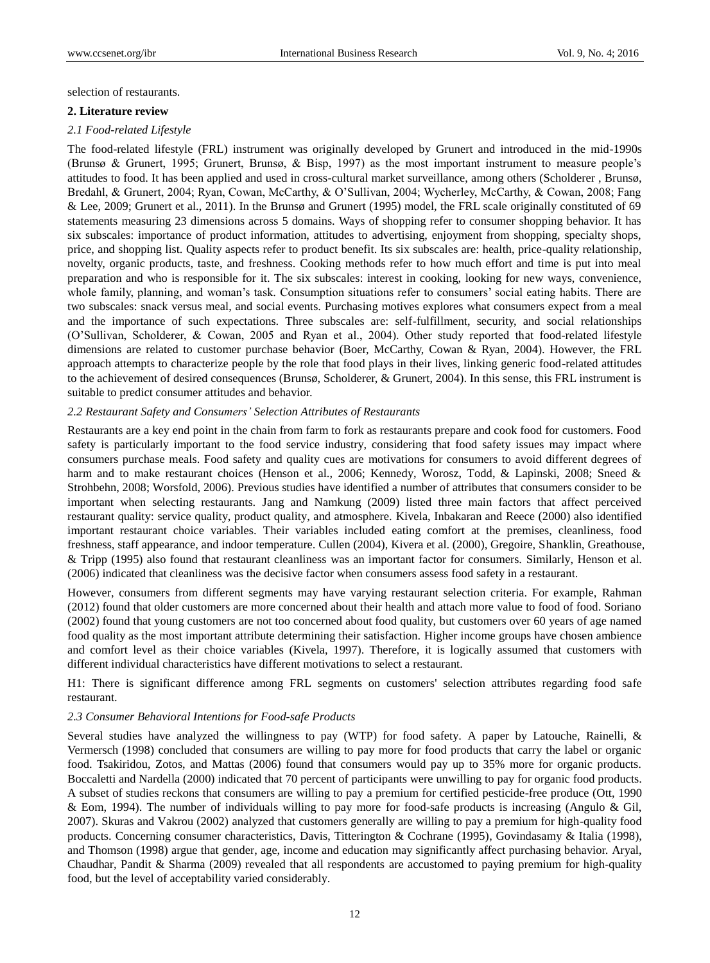selection of restaurants.

#### **2. Literature review**

#### *2.1 Food-related Lifestyle*

The food-related lifestyle (FRL) instrument was originally developed by Grunert and introduced in the mid-1990s (Brunsø & Grunert, 1995; Grunert, Brunsø, & Bisp, 1997) as the most important instrument to measure people's attitudes to food. It has been applied and used in cross-cultural market surveillance, among others (Scholderer , Brunsø, Bredahl, & Grunert, 2004; Ryan, Cowan, McCarthy, & O'Sullivan, 2004; Wycherley, McCarthy, & Cowan, 2008; Fang & Lee, 2009; Grunert et al., 2011). In the Brunsø and Grunert (1995) model, the FRL scale originally constituted of 69 statements measuring 23 dimensions across 5 domains. Ways of shopping refer to consumer shopping behavior. It has six subscales: importance of product information, attitudes to advertising, enjoyment from shopping, specialty shops, price, and shopping list. Quality aspects refer to product benefit. Its six subscales are: health, price-quality relationship, novelty, organic products, taste, and freshness. Cooking methods refer to how much effort and time is put into meal preparation and who is responsible for it. The six subscales: interest in cooking, looking for new ways, convenience, whole family, planning, and woman's task. Consumption situations refer to consumers' social eating habits. There are two subscales: snack versus meal, and social events. Purchasing motives explores what consumers expect from a meal and the importance of such expectations. Three subscales are: self-fulfillment, security, and social relationships (O'Sullivan, Scholderer, & Cowan, 2005 and Ryan et al., 2004). Other study reported that food-related lifestyle dimensions are related to customer purchase behavior (Boer, McCarthy, Cowan & Ryan, 2004). However, the FRL approach attempts to characterize people by the role that food plays in their lives, linking generic food-related attitudes to the achievement of desired consequences (Brunsø, Scholderer, & Grunert, 2004). In this sense, this FRL instrument is suitable to predict consumer attitudes and behavior.

#### *2.2 Restaurant Safety and Consumers' Selection Attributes of Restaurants*

Restaurants are a key end point in the chain from farm to fork as restaurants prepare and cook food for customers. Food safety is particularly important to the food service industry, considering that food safety issues may impact where consumers purchase meals. Food safety and quality cues are motivations for consumers to avoid different degrees of harm and to make restaurant choices (Henson et al., 2006; Kennedy, Worosz, Todd, & Lapinski, 2008; Sneed & Strohbehn, 2008; Worsfold, 2006). Previous studies have identified a number of attributes that consumers consider to be important when selecting restaurants. Jang and Namkung (2009) listed three main factors that affect perceived restaurant quality: service quality, product quality, and atmosphere. Kivela, Inbakaran and Reece (2000) also identified important restaurant choice variables. Their variables included eating comfort at the premises, cleanliness, food freshness, staff appearance, and indoor temperature. Cullen (2004), Kivera et al. (2000), Gregoire, Shanklin, Greathouse, & Tripp (1995) also found that restaurant cleanliness was an important factor for consumers. Similarly, Henson et al. (2006) indicated that cleanliness was the decisive factor when consumers assess food safety in a restaurant.

However, consumers from different segments may have varying restaurant selection criteria. For example, Rahman (2012) found that older customers are more concerned about their health and attach more value to food of food. Soriano (2002) found that young customers are not too concerned about food quality, but customers over 60 years of age named food quality as the most important attribute determining their satisfaction. Higher income groups have chosen ambience and comfort level as their choice variables (Kivela, 1997). Therefore, it is logically assumed that customers with different individual characteristics have different motivations to select a restaurant.

H1: There is significant difference among FRL segments on customers' selection attributes regarding food safe restaurant.

### *2.3 Consumer Behavioral Intentions for Food-safe Products*

Several studies have analyzed the willingness to pay (WTP) for food safety. A paper by Latouche, Rainelli, & Vermersch (1998) concluded that consumers are willing to pay more for food products that carry the label or organic food. Tsakiridou, Zotos, and Mattas (2006) found that consumers would pay up to 35% more for organic products. Boccaletti and Nardella (2000) indicated that 70 percent of participants were unwilling to pay for organic food products. A subset of studies reckons that consumers are willing to pay a premium for certified pesticide-free produce (Ott, 1990 & Eom, 1994). The number of individuals willing to pay more for food-safe products is increasing (Angulo & Gil, 2007). Skuras and Vakrou (2002) analyzed that customers generally are willing to pay a premium for high-quality food products. Concerning consumer characteristics, Davis, Titterington & Cochrane (1995), Govindasamy & Italia (1998), and Thomson (1998) argue that gender, age, income and education may significantly affect purchasing behavior. Aryal, Chaudhar, Pandit & Sharma (2009) revealed that all respondents are accustomed to paying premium for high-quality food, but the level of acceptability varied considerably.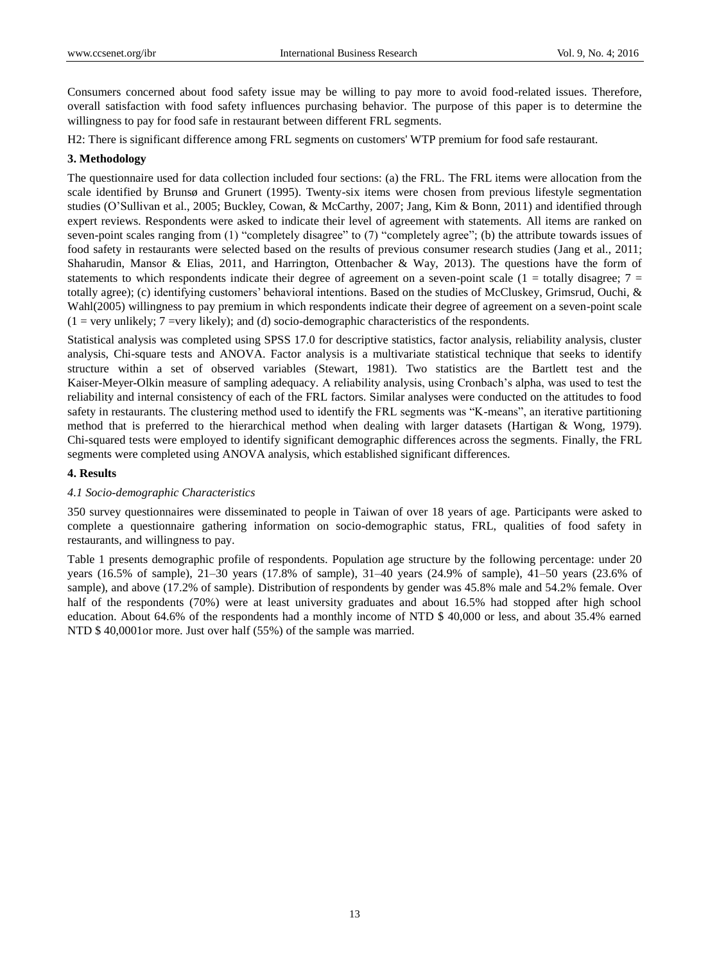Consumers concerned about food safety issue may be willing to pay more to avoid food-related issues. Therefore, overall satisfaction with food safety influences purchasing behavior. The purpose of this paper is to determine the willingness to pay for food safe in restaurant between different FRL segments.

H2: There is significant difference among FRL segments on customers' WTP premium for food safe restaurant.

### **3. Methodology**

The questionnaire used for data collection included four sections: (a) the FRL. The FRL items were allocation from the scale identified by Brunsø and Grunert (1995). Twenty-six items were chosen from previous lifestyle segmentation studies (O'Sullivan et al., 2005; Buckley, Cowan, & McCarthy, 2007; Jang, Kim & Bonn, 2011) and identified through expert reviews. Respondents were asked to indicate their level of agreement with statements. All items are ranked on seven-point scales ranging from (1) "completely disagree" to (7) "completely agree"; (b) the attribute towards issues of food safety in restaurants were selected based on the results of previous consumer research studies (Jang et al., 2011; Shaharudin, Mansor & Elias, 2011, and Harrington, Ottenbacher & Way, 2013). The questions have the form of statements to which respondents indicate their degree of agreement on a seven-point scale ( $1 =$  totally disagree;  $7 =$ totally agree); (c) identifying customers' behavioral intentions. Based on the studies of McCluskey, Grimsrud, Ouchi, & Wahl(2005) willingness to pay premium in which respondents indicate their degree of agreement on a seven-point scale  $(1 = \text{very unlikely}; 7 = \text{very likely})$ ; and  $(d)$  socio-demographic characteristics of the respondents.

Statistical analysis was completed using SPSS 17.0 for descriptive statistics, factor analysis, reliability analysis, cluster analysis, Chi-square tests and ANOVA. Factor analysis is a multivariate statistical technique that seeks to identify structure within a set of observed variables (Stewart, 1981). Two statistics are the Bartlett test and the Kaiser-Meyer-Olkin measure of sampling adequacy. A reliability analysis, using Cronbach's alpha, was used to test the reliability and internal consistency of each of the FRL factors. Similar analyses were conducted on the attitudes to food safety in restaurants. The clustering method used to identify the FRL segments was "K-means", an iterative partitioning method that is preferred to the hierarchical method when dealing with larger datasets (Hartigan & Wong, 1979). Chi-squared tests were employed to identify significant demographic differences across the segments. Finally, the FRL segments were completed using ANOVA analysis, which established significant differences.

## **4. Results**

### *4.1 Socio-demographic Characteristics*

350 survey questionnaires were disseminated to people in Taiwan of over 18 years of age. Participants were asked to complete a questionnaire gathering information on socio-demographic status, FRL, qualities of food safety in restaurants, and willingness to pay.

Table 1 presents demographic profile of respondents. Population age structure by the following percentage: under 20 years (16.5% of sample), 21–30 years (17.8% of sample), 31–40 years (24.9% of sample), 41–50 years (23.6% of sample), and above (17.2% of sample). Distribution of respondents by gender was 45.8% male and 54.2% female. Over half of the respondents (70%) were at least university graduates and about 16.5% had stopped after high school education. About 64.6% of the respondents had a monthly income of NTD \$ 40,000 or less, and about 35.4% earned NTD \$ 40,0001or more. Just over half (55%) of the sample was married.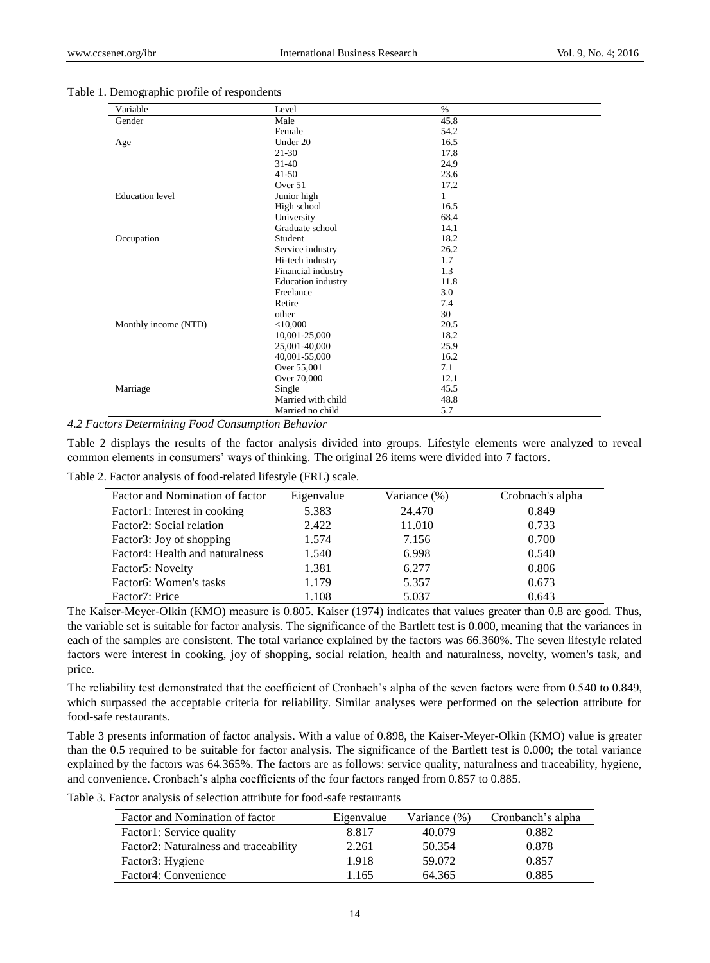| Variable               | Level                     | $\%$ |  |
|------------------------|---------------------------|------|--|
| Gender                 | Male                      | 45.8 |  |
|                        | Female                    | 54.2 |  |
| Age                    | Under 20                  | 16.5 |  |
|                        | $21 - 30$                 | 17.8 |  |
|                        | $31 - 40$                 | 24.9 |  |
|                        | $41 - 50$                 | 23.6 |  |
|                        | Over 51                   | 17.2 |  |
| <b>Education</b> level | Junior high               | 1    |  |
|                        | High school               | 16.5 |  |
|                        | University                | 68.4 |  |
|                        | Graduate school           | 14.1 |  |
| Occupation             | Student                   | 18.2 |  |
|                        | Service industry          | 26.2 |  |
|                        | Hi-tech industry          | 1.7  |  |
|                        | Financial industry        | 1.3  |  |
|                        | <b>Education</b> industry | 11.8 |  |
|                        | Freelance                 | 3.0  |  |
|                        | Retire                    | 7.4  |  |
|                        | other                     | 30   |  |
| Monthly income (NTD)   | $<$ 10,000                | 20.5 |  |
|                        | 10,001-25,000             | 18.2 |  |
|                        | 25,001-40,000             | 25.9 |  |
|                        | 40,001-55,000             | 16.2 |  |
|                        | Over 55,001               | 7.1  |  |
|                        | Over 70,000               | 12.1 |  |
| Marriage               | Single                    | 45.5 |  |
|                        | Married with child        | 48.8 |  |
|                        | Married no child          | 5.7  |  |

#### Table 1. Demographic profile of respondents

*4.2 Factors Determining Food Consumption Behavior*

Table 2 displays the results of the factor analysis divided into groups. Lifestyle elements were analyzed to reveal common elements in consumers' ways of thinking. The original 26 items were divided into 7 factors.

Table 2. Factor analysis of food-related lifestyle (FRL) scale.

| Factor and Nomination of factor     | Eigenvalue | Variance (%) | Crobnach's alpha |
|-------------------------------------|------------|--------------|------------------|
| Factor1: Interest in cooking        | 5.383      | 24.470       | 0.849            |
| Factor2: Social relation            | 2.422      | 11.010       | 0.733            |
| Factor3: Joy of shopping            | 1.574      | 7.156        | 0.700            |
| Factor4: Health and naturalness     | 1.540      | 6.998        | 0.540            |
| Factor5: Novelty                    | 1.381      | 6.277        | 0.806            |
| Factor <sub>6</sub> : Women's tasks | 1.179      | 5.357        | 0.673            |
| Factor7: Price                      | 1.108      | 5.037        | 0.643            |

The Kaiser-Meyer-Olkin (KMO) measure is 0.805. Kaiser (1974) indicates that values greater than 0.8 are good. Thus, the variable set is suitable for factor analysis. The significance of the Bartlett test is 0.000, meaning that the variances in each of the samples are consistent. The total variance explained by the factors was 66.360%. The seven lifestyle related factors were interest in cooking, joy of shopping, social relation, health and naturalness, novelty, women's task, and price.

The reliability test demonstrated that the coefficient of Cronbach's alpha of the seven factors were from 0.540 to 0.849, which surpassed the acceptable criteria for reliability. Similar analyses were performed on the selection attribute for food-safe restaurants.

Table 3 presents information of factor analysis. With a value of 0.898, the Kaiser-Meyer-Olkin (KMO) value is greater than the 0.5 required to be suitable for factor analysis. The significance of the Bartlett test is 0.000; the total variance explained by the factors was 64.365%. The factors are as follows: service quality, naturalness and traceability, hygiene, and convenience. Cronbach's alpha coefficients of the four factors ranged from 0.857 to 0.885.

Table 3. Factor analysis of selection attribute for food-safe restaurants

| Factor and Nomination of factor       | Eigenvalue | Variance $(\%)$ | Cronbanch's alpha |
|---------------------------------------|------------|-----------------|-------------------|
| Factor1: Service quality              | 8.817      | 40.079          | 0.882             |
| Factor2: Naturalness and traceability | 2.261      | 50.354          | 0.878             |
| Factor3: Hygiene                      | 1.918      | 59.072          | 0.857             |
| Factor4: Convenience                  | .165       | 64.365          | 0.885             |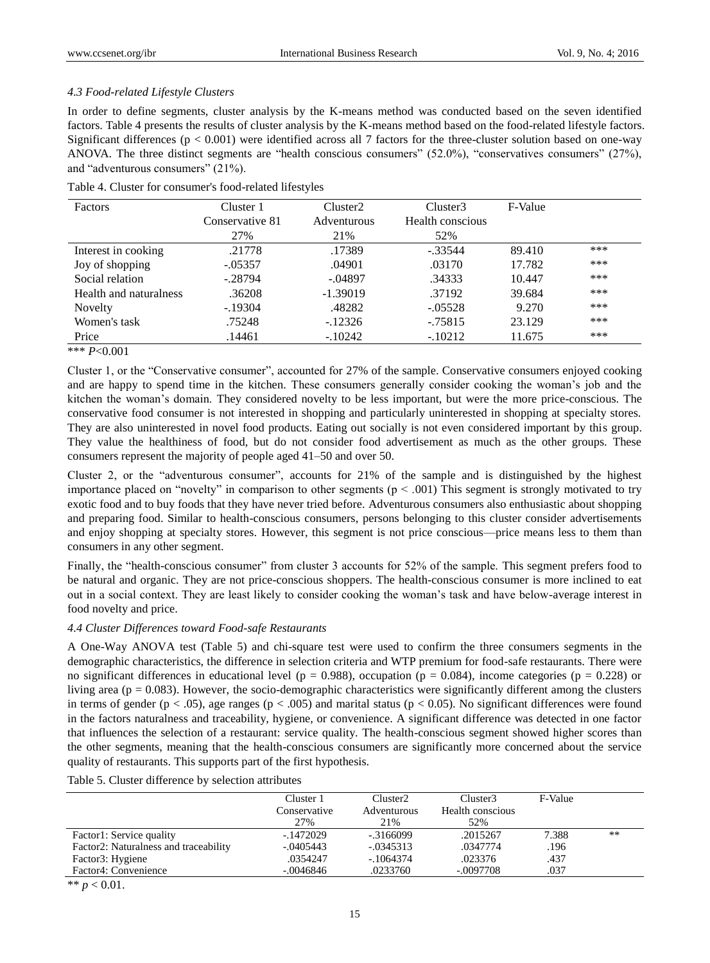## *4.3 Food-related Lifestyle Clusters*

In order to define segments, cluster analysis by the K-means method was conducted based on the seven identified factors. Table 4 presents the results of cluster analysis by the K-means method based on the food-related lifestyle factors. Significant differences ( $p < 0.001$ ) were identified across all 7 factors for the three-cluster solution based on one-way ANOVA. The three distinct segments are "health conscious consumers" (52.0%), "conservatives consumers" (27%), and "adventurous consumers" (21%).

| <b>Factors</b>         | Cluster 1       | Cluster <sub>2</sub> | Cluster3         | F-Value |     |
|------------------------|-----------------|----------------------|------------------|---------|-----|
|                        | Conservative 81 | <b>Adventurous</b>   | Health conscious |         |     |
|                        | 27%             | 21%                  | 52%              |         |     |
| Interest in cooking    | .21778          | .17389               | $-.33544$        | 89.410  | *** |
| Joy of shopping        | $-.05357$       | .04901               | .03170           | 17.782  | *** |
| Social relation        | $-.28794$       | $-.04897$            | .34333           | 10.447  | *** |
| Health and naturalness | .36208          | $-1.39019$           | .37192           | 39.684  | *** |
| Novelty                | $-.19304$       | .48282               | $-.05528$        | 9.270   | *** |
| Women's task           | .75248          | $-12326$             | $-0.75815$       | 23.129  | *** |
| Price                  | .14461          | $-.10242$            | $-.10212$        | 11.675  | *** |

Table 4. Cluster for consumer's food-related lifestyles

\*\*\* *P*<0.001

Cluster 1, or the "Conservative consumer", accounted for 27% of the sample. Conservative consumers enjoyed cooking and are happy to spend time in the kitchen. These consumers generally consider cooking the woman's job and the kitchen the woman's domain. They considered novelty to be less important, but were the more price-conscious. The conservative food consumer is not interested in shopping and particularly uninterested in shopping at specialty stores. They are also uninterested in novel food products. Eating out socially is not even considered important by this group. They value the healthiness of food, but do not consider food advertisement as much as the other groups. These consumers represent the majority of people aged 41–50 and over 50.

Cluster 2, or the "adventurous consumer", accounts for 21% of the sample and is distinguished by the highest importance placed on "novelty" in comparison to other segments ( $p < .001$ ) This segment is strongly motivated to try exotic food and to buy foods that they have never tried before. Adventurous consumers also enthusiastic about shopping and preparing food. Similar to health-conscious consumers, persons belonging to this cluster consider advertisements and enjoy shopping at specialty stores. However, this segment is not price conscious—price means less to them than consumers in any other segment.

Finally, the "health-conscious consumer" from cluster 3 accounts for 52% of the sample. This segment prefers food to be natural and organic. They are not price-conscious shoppers. The health-conscious consumer is more inclined to eat out in a social context. They are least likely to consider cooking the woman's task and have below-average interest in food novelty and price.

### *4.4 Cluster Differences toward Food-safe Restaurants*

A One-Way ANOVA test (Table 5) and chi-square test were used to confirm the three consumers segments in the demographic characteristics, the difference in selection criteria and WTP premium for food-safe restaurants. There were no significant differences in educational level ( $p = 0.988$ ), occupation ( $p = 0.084$ ), income categories ( $p = 0.228$ ) or living area ( $p = 0.083$ ). However, the socio-demographic characteristics were significantly different among the clusters in terms of gender ( $p < .05$ ), age ranges ( $p < .005$ ) and marital status ( $p < .005$ ). No significant differences were found in the factors naturalness and traceability, hygiene, or convenience. A significant difference was detected in one factor that influences the selection of a restaurant: service quality. The health-conscious segment showed higher scores than the other segments, meaning that the health-conscious consumers are significantly more concerned about the service quality of restaurants. This supports part of the first hypothesis.

Table 5. Cluster difference by selection attributes

|                                       | Cluster 1<br>Conservative<br>27% | Cluster <sub>2</sub><br>Adventurous<br>21% | Cluster3<br>Health conscious<br>52% | F-Value |    |
|---------------------------------------|----------------------------------|--------------------------------------------|-------------------------------------|---------|----|
| Factor1: Service quality              | -.1472029                        | $-0.3166099$                               | .2015267                            | 7.388   | ** |
| Factor2: Naturalness and traceability | $-.0405443$                      | $-.0345313$                                | .0347774                            | .196    |    |
| Factor3: Hygiene                      | .0354247                         | $-1064374$                                 | .023376                             | .437    |    |
| Factor4: Convenience                  | $-.0046846$                      | .0233760                                   | $-.0097708$                         | .037    |    |

\*\*  $p < 0.01$ .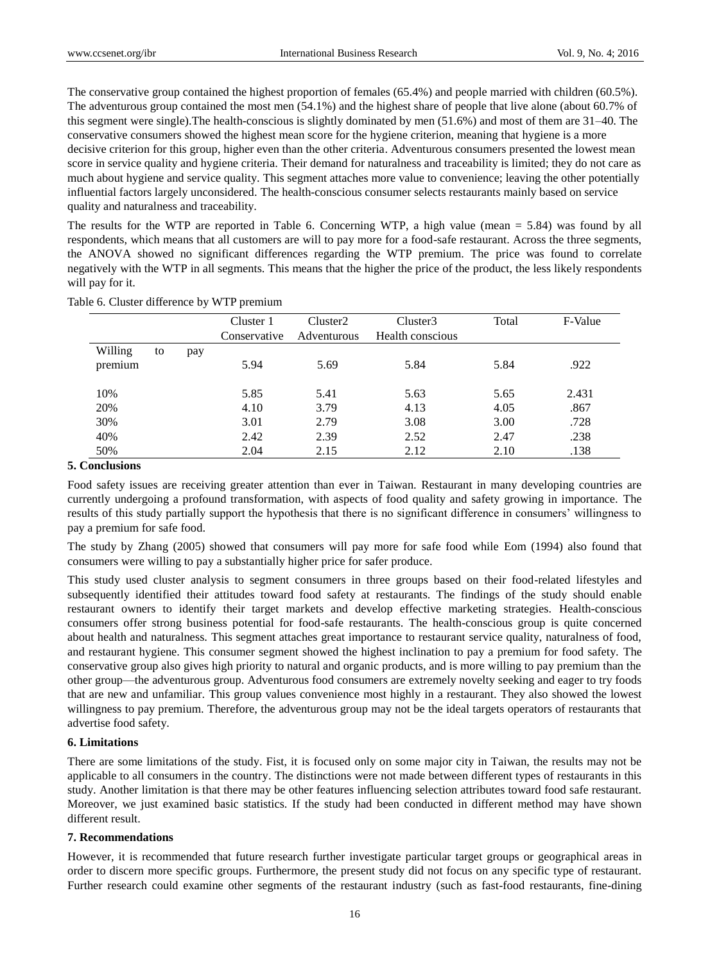The conservative group contained the highest proportion of females (65.4%) and people married with children (60.5%). The adventurous group contained the most men (54.1%) and the highest share of people that live alone (about 60.7% of this segment were single).The health-conscious is slightly dominated by men (51.6%) and most of them are 31–40. The conservative consumers showed the highest mean score for the hygiene criterion, meaning that hygiene is a more decisive criterion for this group, higher even than the other criteria. Adventurous consumers presented the lowest mean score in service quality and hygiene criteria. Their demand for naturalness and traceability is limited; they do not care as much about hygiene and service quality. This segment attaches more value to convenience; leaving the other potentially influential factors largely unconsidered. The health-conscious consumer selects restaurants mainly based on service quality and naturalness and traceability.

The results for the WTP are reported in Table 6. Concerning WTP, a high value (mean = 5.84) was found by all respondents, which means that all customers are will to pay more for a food-safe restaurant. Across the three segments, the ANOVA showed no significant differences regarding the WTP premium. The price was found to correlate negatively with the WTP in all segments. This means that the higher the price of the product, the less likely respondents will pay for it.

| Table 6. Cluster difference by WTP premium |  |  |  |  |  |  |
|--------------------------------------------|--|--|--|--|--|--|
|--------------------------------------------|--|--|--|--|--|--|

|         |    |     | Cluster 1<br>Conservative | Cluster <sub>2</sub><br>Adventurous | Cluster3<br>Health conscious | Total | F-Value |
|---------|----|-----|---------------------------|-------------------------------------|------------------------------|-------|---------|
| Willing | to |     |                           |                                     |                              |       |         |
| premium |    | pay | 5.94                      | 5.69                                | 5.84                         | 5.84  | .922    |
| 10%     |    |     | 5.85                      | 5.41                                | 5.63                         | 5.65  | 2.431   |
| 20%     |    |     | 4.10                      | 3.79                                | 4.13                         | 4.05  | .867    |
| 30%     |    |     | 3.01                      | 2.79                                | 3.08                         | 3.00  | .728    |
| 40%     |    |     | 2.42                      | 2.39                                | 2.52                         | 2.47  | .238    |
| 50%     |    |     | 2.04                      | 2.15                                | 2.12                         | 2.10  | .138    |

## **5. Conclusions**

Food safety issues are receiving greater attention than ever in Taiwan. Restaurant in many developing countries are currently undergoing a profound transformation, with aspects of food quality and safety growing in importance. The results of this study partially support the hypothesis that there is no significant difference in consumers' willingness to pay a premium for safe food.

The study by Zhang (2005) showed that consumers will pay more for safe food while Eom (1994) also found that consumers were willing to pay a substantially higher price for safer produce.

This study used cluster analysis to segment consumers in three groups based on their food-related lifestyles and subsequently identified their attitudes toward food safety at restaurants. The findings of the study should enable restaurant owners to identify their target markets and develop effective marketing strategies. Health-conscious consumers offer strong business potential for food-safe restaurants. The health-conscious group is quite concerned about health and naturalness. This segment attaches great importance to restaurant service quality, naturalness of food, and restaurant hygiene. This consumer segment showed the highest inclination to pay a premium for food safety. The conservative group also gives high priority to natural and organic products, and is more willing to pay premium than the other group—the adventurous group. Adventurous food consumers are extremely novelty seeking and eager to try foods that are new and unfamiliar. This group values convenience most highly in a restaurant. They also showed the lowest willingness to pay premium. Therefore, the adventurous group may not be the ideal targets operators of restaurants that advertise food safety.

#### **6. Limitations**

There are some limitations of the study. Fist, it is focused only on some major city in Taiwan, the results may not be applicable to all consumers in the country. The distinctions were not made between different types of restaurants in this study. Another limitation is that there may be other features influencing selection attributes toward food safe restaurant. Moreover, we just examined basic statistics. If the study had been conducted in different method may have shown different result.

#### **7. Recommendations**

However, it is recommended that future research further investigate particular target groups or geographical areas in order to discern more specific groups. Furthermore, the present study did not focus on any specific type of restaurant. Further research could examine other segments of the restaurant industry (such as fast-food restaurants, fine-dining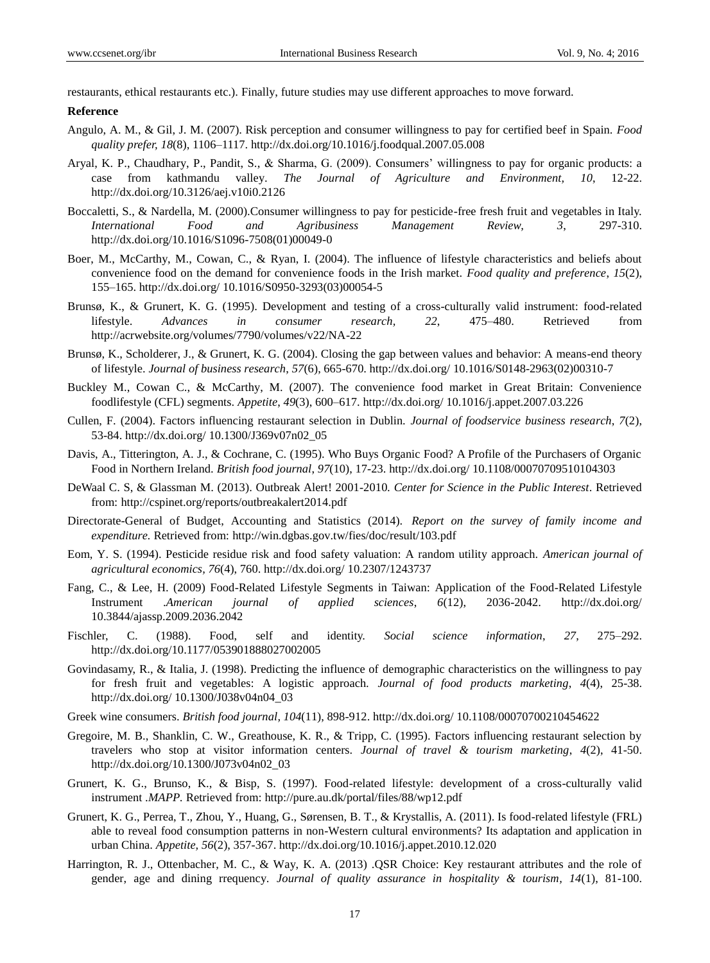restaurants, ethical restaurants etc.). Finally, future studies may use different approaches to move forward.

#### **Reference**

- Angulo, A. M., & Gil, J. M. (2007). Risk perception and consumer willingness to pay for certified beef in Spain. *Food quality prefer, 18*(8), 1106–1117. http://dx.doi.org/10.1016/j.foodqual.2007.05.008
- Aryal, K. P., Chaudhary, P., Pandit, S., & Sharma, G. (2009). Consumers' willingness to pay for organic products: a case from kathmandu valley. *The Journal of Agriculture and Environment, 10*, 12-22. http://dx.doi.org/10.3126/aej.v10i0.2126
- Boccaletti, S., & Nardella, M. (2000).Consumer willingness to pay for pesticide-free fresh fruit and vegetables in Italy. *International Food and Agribusiness Management Review, 3*, 297-310. http://dx.doi.org/10.1016/S1096-7508(01)00049-0
- Boer, M., McCarthy, M., Cowan, C., & Ryan, I. (2004). The influence of lifestyle characteristics and beliefs about convenience food on the demand for convenience foods in the Irish market. *Food quality and preference*, *15*(2), 155–165. http://dx.doi.org/ 10.1016/S0950-3293(03)00054-5
- Brunsø, K., & Grunert, K. G. (1995). Development and testing of a cross-culturally valid instrument: food-related lifestyle. *Advances in consumer research, 22*, 475–480. Retrieved from http://acrwebsite.org/volumes/7790/volumes/v22/NA-22
- Brunsø, K., Scholderer, J., & Grunert, K. G. (2004). Closing the gap between values and behavior: A means-end theory of lifestyle. *Journal of business research*, *57*(6), 665-670. http://dx.doi.org/ 10.1016/S0148-2963(02)00310-7
- Buckley M., Cowan C., & McCarthy, M. (2007). The convenience food market in Great Britain: Convenience foodlifestyle (CFL) segments. *Appetite*, *49*(3), 600–617. http://dx.doi.org/ 10.1016/j.appet.2007.03.226
- Cullen, F. (2004). Factors influencing restaurant selection in Dublin. *Journal of foodservice business research*, *7*(2), 53-84. http://dx.doi.org/ 10.1300/J369v07n02\_05
- Davis, A., Titterington, A. J., & Cochrane, C. (1995). Who Buys Organic Food? A Profile of the Purchasers of Organic Food in Northern Ireland. *British food journal*, *97*(10), 17-23. http://dx.doi.org/ 10.1108/00070709510104303
- DeWaal C. S, & Glassman M. (2013). Outbreak Alert! 2001-2010*. Center for Science in the Public Interest*. Retrieved from: http://cspinet.org/reports/outbreakalert2014.pdf
- Directorate-General of Budget, Accounting and Statistics (2014). *Report on the survey of family income and expenditure.* Retrieved from: http://win.dgbas.gov.tw/fies/doc/result/103.pdf
- Eom, Y. S. (1994). Pesticide residue risk and food safety valuation: A random utility approach. *American journal of agricultural economics, 76*(4), 760. http://dx.doi.org/ 10.2307/1243737
- Fang, C., & Lee, H. (2009) Food-Related Lifestyle Segments in Taiwan: Application of the Food-Related Lifestyle Instrument .*American journal of applied sciences*, *6*(12), 2036-2042. http://dx.doi.org/ 10.3844/ajassp.2009.2036.2042
- Fischler, C. (1988). Food, self and identity. *Social science information*, *27*, 275–292. http://dx.doi.org/10.1177/053901888027002005
- Govindasamy, R., & Italia, J. (1998). Predicting the influence of demographic characteristics on the willingness to pay for fresh fruit and vegetables: A logistic approach. *Journal of food products marketing*, *4*(4), 25-38. http://dx.doi.org/ 10.1300/J038v04n04\_03
- Greek wine consumers. *British food journal, 104*(11), 898-912. http://dx.doi.org/ 10.1108/00070700210454622
- Gregoire, M. B., Shanklin, C. W., Greathouse, K. R., & Tripp, C. (1995). Factors influencing restaurant selection by travelers who stop at visitor information centers. *Journal of travel & tourism marketing*, *4*(2), 41-50. http://dx.doi.org/10.1300/J073v04n02\_03
- Grunert, K. G., Brunso, K., & Bisp, S. (1997). Food-related lifestyle: development of a cross-culturally valid instrument .*MAPP.* Retrieved from: http://pure.au.dk/portal/files/88/wp12.pdf
- Grunert, K. G., Perrea, T., Zhou, Y., Huang, G., Sørensen, B. T., & Krystallis, A. (2011). Is food-related lifestyle (FRL) able to reveal food consumption patterns in non-Western cultural environments? Its adaptation and application in urban China. *Appetite, 56*(2), 357-367. http://dx.doi.org/10.1016/j.appet.2010.12.020
- Harrington, R. J., Ottenbacher, M. C., & Way, K. A. (2013) .QSR Choice: Key restaurant attributes and the role of gender, age and dining rrequency. *Journal of quality assurance in hospitality & tourism, 14*(1), 81-100.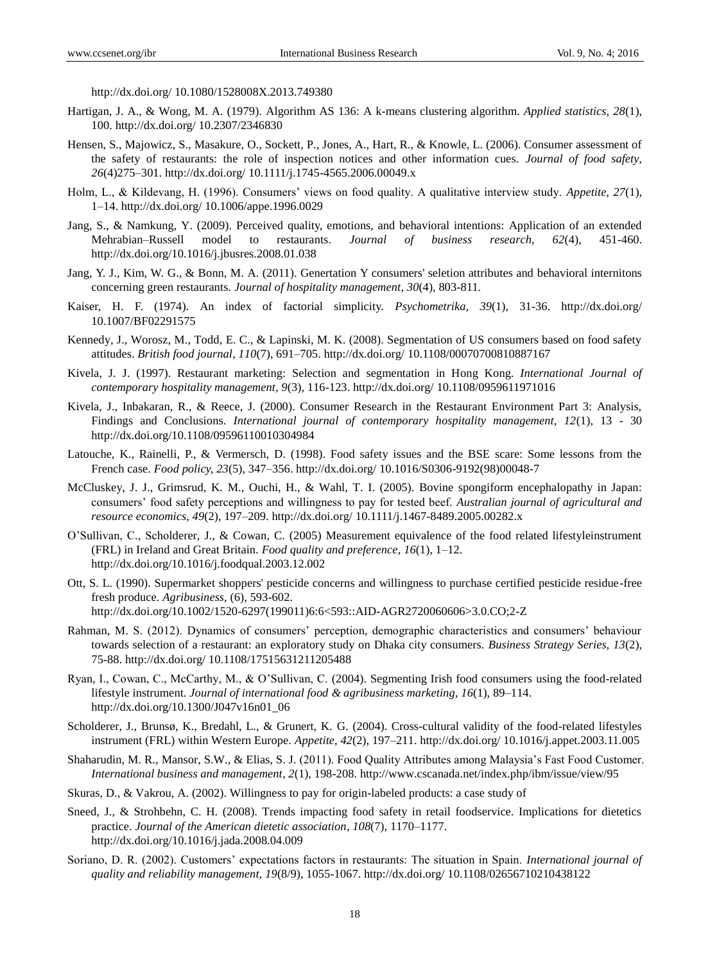http://dx.doi.org/ 10.1080/1528008X.2013.749380

- Hartigan, J. A., & Wong, M. A. (1979). Algorithm AS 136: A k-means clustering algorithm. *Applied statistics*, *28*(1), 100. http://dx.doi.org/ 10.2307/2346830
- Hensen, S., Majowicz, S., Masakure, O., Sockett, P., Jones, A., Hart, R., & Knowle, L. (2006). Consumer assessment of the safety of restaurants: the role of inspection notices and other information cues. *Journal of food safety, 26*(4)275–301. http://dx.doi.org/ 10.1111/j.1745-4565.2006.00049.x
- Holm, L., & Kildevang, H. (1996). Consumers' views on food quality. A qualitative interview study. *Appetite, 27*(1), 1–14. http://dx.doi.org/ 10.1006/appe.1996.0029
- Jang, S., & Namkung, Y. (2009). Perceived quality, emotions, and behavioral intentions: Application of an extended Mehrabian–Russell model to restaurants. *Journal of business research, 62*(4), 451-460. http://dx.doi.org/10.1016/j.jbusres.2008.01.038
- Jang, Y. J., Kim, W. G., & Bonn, M. A. (2011). Genertation Y consumers' seletion attributes and behavioral internitons concerning green restaurants. *Journal of hospitality management*, *30*(4), 803-811.
- Kaiser, H. F. (1974). An index of factorial simplicity. *Psychometrika, 39*(1), 31-36. http://dx.doi.org/ 10.1007/BF02291575
- Kennedy, J., Worosz, M., Todd, E. C., & Lapinski, M. K. (2008). Segmentation of US consumers based on food safety attitudes. *British food journal*, *110*(7), 691–705. http://dx.doi.org/ 10.1108/00070700810887167
- Kivela, J. J. (1997). Restaurant marketing: Selection and segmentation in Hong Kong. *International Journal of contemporary hospitality management, 9*(3), 116-123. http://dx.doi.org/ 10.1108/0959611971016
- Kivela, J., Inbakaran, R., & Reece, J. (2000). Consumer Research in the Restaurant Environment Part 3: Analysis, Findings and Conclusions. *International journal of contemporary hospitality management, 12*(1), 13 - 30 http://dx.doi.org/10.1108/09596110010304984
- Latouche, K., Rainelli, P., & Vermersch, D. (1998). Food safety issues and the BSE scare: Some lessons from the French case. *Food policy, 23*(5), 347–356. http://dx.doi.org/ 10.1016/S0306-9192(98)00048-7
- McCluskey, J. J., Grimsrud, K. M., Ouchi, H., & Wahl, T. I. (2005). Bovine spongiform encephalopathy in Japan: consumers' food safety perceptions and willingness to pay for tested beef. *Australian journal of agricultural and resource economics*, *49*(2), 197–209. http://dx.doi.org/ 10.1111/j.1467-8489.2005.00282.x
- O'Sullivan, C., Scholderer, J., & Cowan, C. (2005) Measurement equivalence of the food related lifestyleinstrument (FRL) in Ireland and Great Britain. *Food quality and preference*, *16*(1), 1–12. http://dx.doi.org/10.1016/j.foodqual.2003.12.002
- Ott, S. L. (1990). Supermarket shoppers' pesticide concerns and willingness to purchase certified pesticide residue-free fresh produce. *Agribusiness,* (6), 593-602. http://dx.doi.org/10.1002/1520-6297(199011)6:6<593::AID-AGR2720060606>3.0.CO;2-Z
- Rahman, M. S. (2012). Dynamics of consumers' perception, demographic characteristics and consumers' behaviour towards selection of a restaurant: an exploratory study on Dhaka city consumers. *Business Strategy Series, 13*(2), 75-88. http://dx.doi.org/ 10.1108/17515631211205488
- Ryan, I., Cowan, C., McCarthy, M., & O'Sullivan, C. (2004). Segmenting Irish food consumers using the food-related lifestyle instrument. *Journal of international food & agribusiness marketing, 16*(1), 89–114. http://dx.doi.org/10.1300/J047v16n01\_06
- Scholderer, J., Brunsø, K., Bredahl, L., & Grunert, K. G. (2004). Cross-cultural validity of the food-related lifestyles instrument (FRL) within Western Europe. *Appetite, 42*(2), 197–211. http://dx.doi.org/ 10.1016/j.appet.2003.11.005
- Shaharudin, M. R., Mansor, S.W., & Elias, S. J. (2011). Food Quality Attributes among Malaysia's Fast Food Customer. *International business and management, 2*(1), 198-208. http://www.cscanada.net/index.php/ibm/issue/view/95
- Skuras, D., & Vakrou, A. (2002). Willingness to pay for origin-labeled products: a case study of
- Sneed, J., & Strohbehn, C. H. (2008). Trends impacting food safety in retail foodservice. Implications for dietetics practice. *Journal of the American dietetic association*, *108*(7), 1170–1177. http://dx.doi.org/10.1016/j.jada.2008.04.009
- Soriano, D. R. (2002). Customers' expectations factors in restaurants: The situation in Spain. *International journal of quality and reliability management, 19*(8/9), 1055-1067. http://dx.doi.org/ 10.1108/02656710210438122